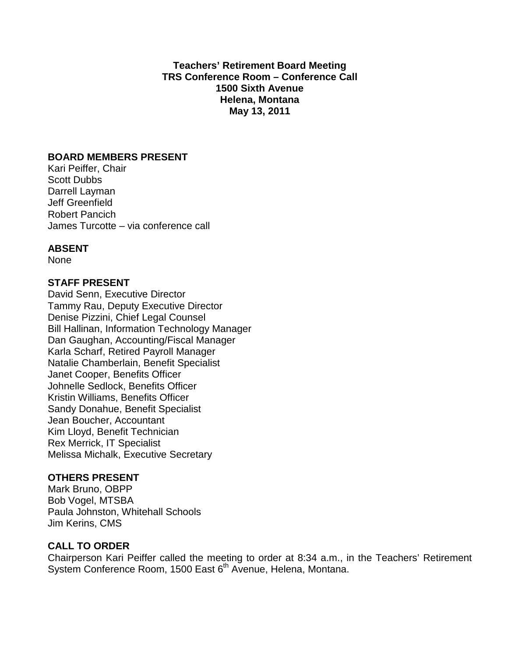**Teachers' Retirement Board Meeting TRS Conference Room – Conference Call 1500 Sixth Avenue Helena, Montana May 13, 2011**

### **BOARD MEMBERS PRESENT**

Kari Peiffer, Chair Scott Dubbs Darrell Layman Jeff Greenfield Robert Pancich James Turcotte – via conference call

## **ABSENT**

None

### **STAFF PRESENT**

David Senn, Executive Director Tammy Rau, Deputy Executive Director Denise Pizzini, Chief Legal Counsel Bill Hallinan, Information Technology Manager Dan Gaughan, Accounting/Fiscal Manager Karla Scharf, Retired Payroll Manager Natalie Chamberlain, Benefit Specialist Janet Cooper, Benefits Officer Johnelle Sedlock, Benefits Officer Kristin Williams, Benefits Officer Sandy Donahue, Benefit Specialist Jean Boucher, Accountant Kim Lloyd, Benefit Technician Rex Merrick, IT Specialist Melissa Michalk, Executive Secretary

#### **OTHERS PRESENT**

Mark Bruno, OBPP Bob Vogel, MTSBA Paula Johnston, Whitehall Schools Jim Kerins, CMS

## **CALL TO ORDER**

Chairperson Kari Peiffer called the meeting to order at 8:34 a.m., in the Teachers' Retirement System Conference Room, 1500 East 6<sup>th</sup> Avenue, Helena, Montana.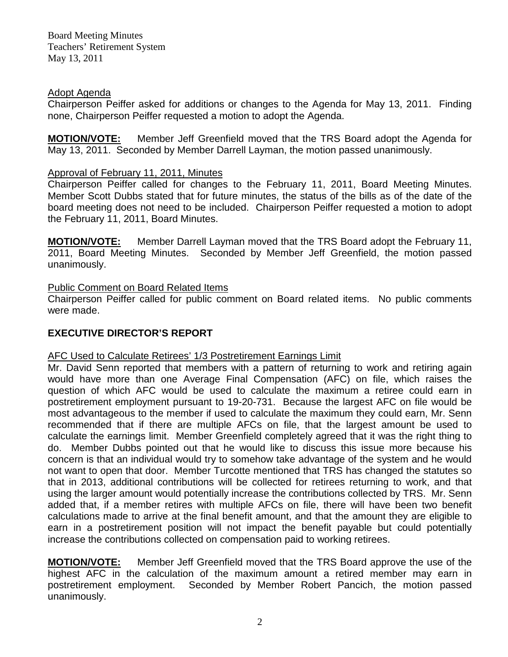## Adopt Agenda

Chairperson Peiffer asked for additions or changes to the Agenda for May 13, 2011. Finding none, Chairperson Peiffer requested a motion to adopt the Agenda.

**MOTION/VOTE:** Member Jeff Greenfield moved that the TRS Board adopt the Agenda for May 13, 2011. Seconded by Member Darrell Layman, the motion passed unanimously.

## Approval of February 11, 2011, Minutes

Chairperson Peiffer called for changes to the February 11, 2011, Board Meeting Minutes. Member Scott Dubbs stated that for future minutes, the status of the bills as of the date of the board meeting does not need to be included. Chairperson Peiffer requested a motion to adopt the February 11, 2011, Board Minutes.

**MOTION/VOTE:** Member Darrell Layman moved that the TRS Board adopt the February 11, 2011, Board Meeting Minutes. Seconded by Member Jeff Greenfield, the motion passed unanimously.

## Public Comment on Board Related Items

Chairperson Peiffer called for public comment on Board related items. No public comments were made.

# **EXECUTIVE DIRECTOR'S REPORT**

## AFC Used to Calculate Retirees' 1/3 Postretirement Earnings Limit

Mr. David Senn reported that members with a pattern of returning to work and retiring again would have more than one Average Final Compensation (AFC) on file, which raises the question of which AFC would be used to calculate the maximum a retiree could earn in postretirement employment pursuant to 19-20-731. Because the largest AFC on file would be most advantageous to the member if used to calculate the maximum they could earn, Mr. Senn recommended that if there are multiple AFCs on file, that the largest amount be used to calculate the earnings limit. Member Greenfield completely agreed that it was the right thing to do. Member Dubbs pointed out that he would like to discuss this issue more because his concern is that an individual would try to somehow take advantage of the system and he would not want to open that door. Member Turcotte mentioned that TRS has changed the statutes so that in 2013, additional contributions will be collected for retirees returning to work, and that using the larger amount would potentially increase the contributions collected by TRS. Mr. Senn added that, if a member retires with multiple AFCs on file, there will have been two benefit calculations made to arrive at the final benefit amount, and that the amount they are eligible to earn in a postretirement position will not impact the benefit payable but could potentially increase the contributions collected on compensation paid to working retirees.

**MOTION/VOTE:** Member Jeff Greenfield moved that the TRS Board approve the use of the highest AFC in the calculation of the maximum amount a retired member may earn in postretirement employment. Seconded by Member Robert Pancich, the motion passed unanimously.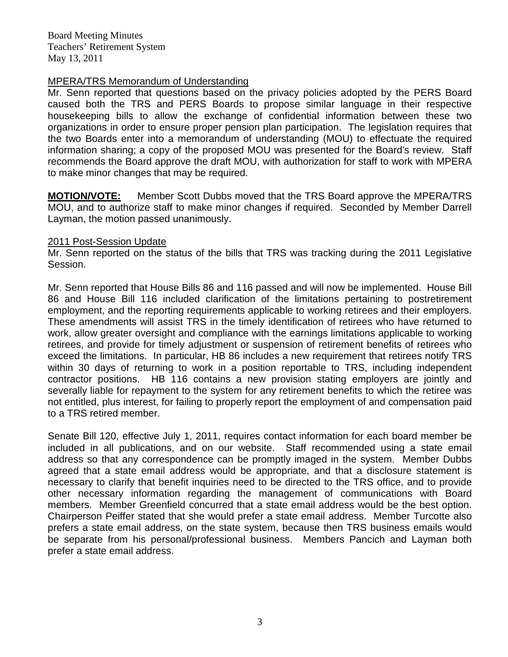## MPERA/TRS Memorandum of Understanding

Mr. Senn reported that questions based on the privacy policies adopted by the PERS Board caused both the TRS and PERS Boards to propose similar language in their respective housekeeping bills to allow the exchange of confidential information between these two organizations in order to ensure proper pension plan participation. The legislation requires that the two Boards enter into a memorandum of understanding (MOU) to effectuate the required information sharing; a copy of the proposed MOU was presented for the Board's review. Staff recommends the Board approve the draft MOU, with authorization for staff to work with MPERA to make minor changes that may be required.

**MOTION/VOTE:** Member Scott Dubbs moved that the TRS Board approve the MPERA/TRS MOU, and to authorize staff to make minor changes if required. Seconded by Member Darrell Layman, the motion passed unanimously.

### 2011 Post-Session Update

Mr. Senn reported on the status of the bills that TRS was tracking during the 2011 Legislative Session.

Mr. Senn reported that House Bills 86 and 116 passed and will now be implemented. House Bill 86 and House Bill 116 included clarification of the limitations pertaining to postretirement employment, and the reporting requirements applicable to working retirees and their employers. These amendments will assist TRS in the timely identification of retirees who have returned to work, allow greater oversight and compliance with the earnings limitations applicable to working retirees, and provide for timely adjustment or suspension of retirement benefits of retirees who exceed the limitations. In particular, HB 86 includes a new requirement that retirees notify TRS within 30 days of returning to work in a position reportable to TRS, including independent contractor positions. HB 116 contains a new provision stating employers are jointly and severally liable for repayment to the system for any retirement benefits to which the retiree was not entitled, plus interest, for failing to properly report the employment of and compensation paid to a TRS retired member.

Senate Bill 120, effective July 1, 2011, requires contact information for each board member be included in all publications, and on our website. Staff recommended using a state email address so that any correspondence can be promptly imaged in the system. Member Dubbs agreed that a state email address would be appropriate, and that a disclosure statement is necessary to clarify that benefit inquiries need to be directed to the TRS office, and to provide other necessary information regarding the management of communications with Board members. Member Greenfield concurred that a state email address would be the best option. Chairperson Peiffer stated that she would prefer a state email address. Member Turcotte also prefers a state email address, on the state system, because then TRS business emails would be separate from his personal/professional business. Members Pancich and Layman both prefer a state email address.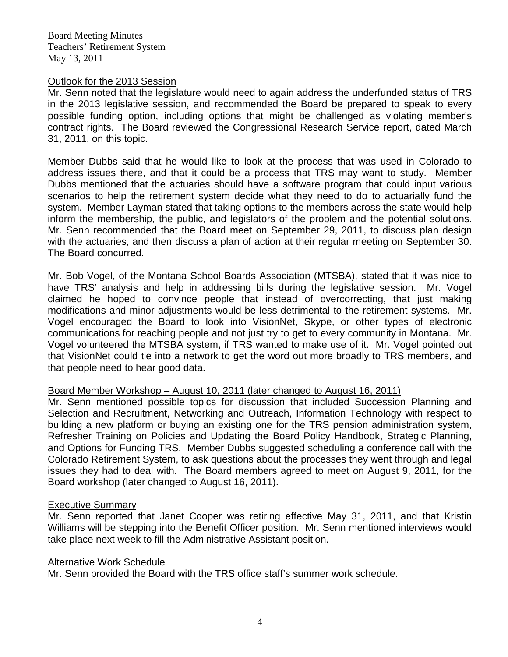#### Outlook for the 2013 Session

Mr. Senn noted that the legislature would need to again address the underfunded status of TRS in the 2013 legislative session, and recommended the Board be prepared to speak to every possible funding option, including options that might be challenged as violating member's contract rights. The Board reviewed the Congressional Research Service report, dated March 31, 2011, on this topic.

Member Dubbs said that he would like to look at the process that was used in Colorado to address issues there, and that it could be a process that TRS may want to study. Member Dubbs mentioned that the actuaries should have a software program that could input various scenarios to help the retirement system decide what they need to do to actuarially fund the system. Member Layman stated that taking options to the members across the state would help inform the membership, the public, and legislators of the problem and the potential solutions. Mr. Senn recommended that the Board meet on September 29, 2011, to discuss plan design with the actuaries, and then discuss a plan of action at their regular meeting on September 30. The Board concurred.

Mr. Bob Vogel, of the Montana School Boards Association (MTSBA), stated that it was nice to have TRS' analysis and help in addressing bills during the legislative session. Mr. Vogel claimed he hoped to convince people that instead of overcorrecting, that just making modifications and minor adjustments would be less detrimental to the retirement systems. Mr. Vogel encouraged the Board to look into VisionNet, Skype, or other types of electronic communications for reaching people and not just try to get to every community in Montana. Mr. Vogel volunteered the MTSBA system, if TRS wanted to make use of it. Mr. Vogel pointed out that VisionNet could tie into a network to get the word out more broadly to TRS members, and that people need to hear good data.

## Board Member Workshop – August 10, 2011 (later changed to August 16, 2011)

Mr. Senn mentioned possible topics for discussion that included Succession Planning and Selection and Recruitment, Networking and Outreach, Information Technology with respect to building a new platform or buying an existing one for the TRS pension administration system, Refresher Training on Policies and Updating the Board Policy Handbook, Strategic Planning, and Options for Funding TRS. Member Dubbs suggested scheduling a conference call with the Colorado Retirement System, to ask questions about the processes they went through and legal issues they had to deal with. The Board members agreed to meet on August 9, 2011, for the Board workshop (later changed to August 16, 2011).

#### Executive Summary

Mr. Senn reported that Janet Cooper was retiring effective May 31, 2011, and that Kristin Williams will be stepping into the Benefit Officer position. Mr. Senn mentioned interviews would take place next week to fill the Administrative Assistant position.

#### Alternative Work Schedule

Mr. Senn provided the Board with the TRS office staff's summer work schedule.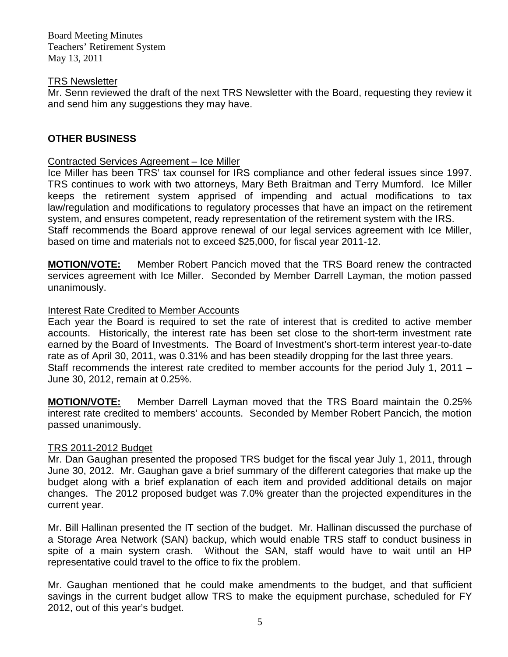### TRS Newsletter

Mr. Senn reviewed the draft of the next TRS Newsletter with the Board, requesting they review it and send him any suggestions they may have.

# **OTHER BUSINESS**

## Contracted Services Agreement – Ice Miller

Ice Miller has been TRS' tax counsel for IRS compliance and other federal issues since 1997. TRS continues to work with two attorneys, Mary Beth Braitman and Terry Mumford. Ice Miller keeps the retirement system apprised of impending and actual modifications to tax law/regulation and modifications to regulatory processes that have an impact on the retirement system, and ensures competent, ready representation of the retirement system with the IRS. Staff recommends the Board approve renewal of our legal services agreement with Ice Miller, based on time and materials not to exceed \$25,000, for fiscal year 2011-12.

**MOTION/VOTE:** Member Robert Pancich moved that the TRS Board renew the contracted services agreement with Ice Miller. Seconded by Member Darrell Layman, the motion passed unanimously.

## Interest Rate Credited to Member Accounts

Each year the Board is required to set the rate of interest that is credited to active member accounts. Historically, the interest rate has been set close to the short-term investment rate earned by the Board of Investments. The Board of Investment's short-term interest year-to-date rate as of April 30, 2011, was 0.31% and has been steadily dropping for the last three years. Staff recommends the interest rate credited to member accounts for the period July 1, 2011 – June 30, 2012, remain at 0.25%.

**MOTION/VOTE:** Member Darrell Layman moved that the TRS Board maintain the 0.25% interest rate credited to members' accounts. Seconded by Member Robert Pancich, the motion passed unanimously.

## TRS 2011-2012 Budget

Mr. Dan Gaughan presented the proposed TRS budget for the fiscal year July 1, 2011, through June 30, 2012. Mr. Gaughan gave a brief summary of the different categories that make up the budget along with a brief explanation of each item and provided additional details on major changes. The 2012 proposed budget was 7.0% greater than the projected expenditures in the current year.

Mr. Bill Hallinan presented the IT section of the budget. Mr. Hallinan discussed the purchase of a Storage Area Network (SAN) backup, which would enable TRS staff to conduct business in spite of a main system crash. Without the SAN, staff would have to wait until an HP representative could travel to the office to fix the problem.

Mr. Gaughan mentioned that he could make amendments to the budget, and that sufficient savings in the current budget allow TRS to make the equipment purchase, scheduled for FY 2012, out of this year's budget.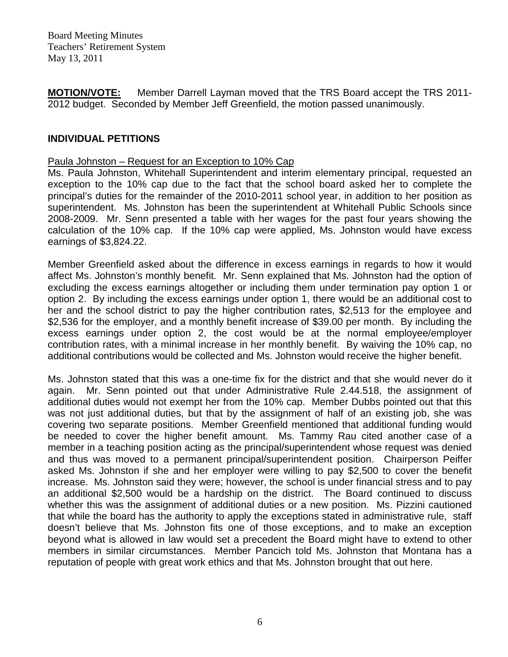**MOTION/VOTE:** Member Darrell Layman moved that the TRS Board accept the TRS 2011- 2012 budget. Seconded by Member Jeff Greenfield, the motion passed unanimously.

## **INDIVIDUAL PETITIONS**

### Paula Johnston – Request for an Exception to 10% Cap

Ms. Paula Johnston, Whitehall Superintendent and interim elementary principal, requested an exception to the 10% cap due to the fact that the school board asked her to complete the principal's duties for the remainder of the 2010-2011 school year, in addition to her position as superintendent. Ms. Johnston has been the superintendent at Whitehall Public Schools since 2008-2009. Mr. Senn presented a table with her wages for the past four years showing the calculation of the 10% cap. If the 10% cap were applied, Ms. Johnston would have excess earnings of \$3,824.22.

Member Greenfield asked about the difference in excess earnings in regards to how it would affect Ms. Johnston's monthly benefit. Mr. Senn explained that Ms. Johnston had the option of excluding the excess earnings altogether or including them under termination pay option 1 or option 2. By including the excess earnings under option 1, there would be an additional cost to her and the school district to pay the higher contribution rates, \$2,513 for the employee and \$2,536 for the employer, and a monthly benefit increase of \$39.00 per month. By including the excess earnings under option 2, the cost would be at the normal employee/employer contribution rates, with a minimal increase in her monthly benefit. By waiving the 10% cap, no additional contributions would be collected and Ms. Johnston would receive the higher benefit.

Ms. Johnston stated that this was a one-time fix for the district and that she would never do it again. Mr. Senn pointed out that under Administrative Rule 2.44.518, the assignment of additional duties would not exempt her from the 10% cap. Member Dubbs pointed out that this was not just additional duties, but that by the assignment of half of an existing job, she was covering two separate positions. Member Greenfield mentioned that additional funding would be needed to cover the higher benefit amount. Ms. Tammy Rau cited another case of a member in a teaching position acting as the principal/superintendent whose request was denied and thus was moved to a permanent principal/superintendent position. Chairperson Peiffer asked Ms. Johnston if she and her employer were willing to pay \$2,500 to cover the benefit increase. Ms. Johnston said they were; however, the school is under financial stress and to pay an additional \$2,500 would be a hardship on the district. The Board continued to discuss whether this was the assignment of additional duties or a new position. Ms. Pizzini cautioned that while the board has the authority to apply the exceptions stated in administrative rule, staff doesn't believe that Ms. Johnston fits one of those exceptions, and to make an exception beyond what is allowed in law would set a precedent the Board might have to extend to other members in similar circumstances. Member Pancich told Ms. Johnston that Montana has a reputation of people with great work ethics and that Ms. Johnston brought that out here.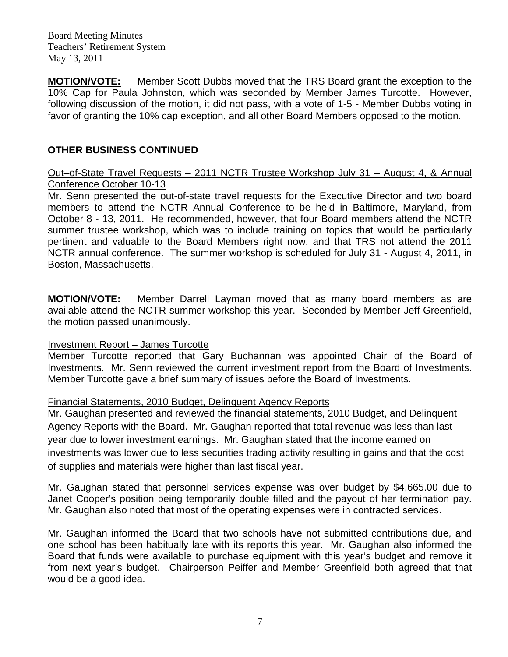**MOTION/VOTE:** Member Scott Dubbs moved that the TRS Board grant the exception to the 10% Cap for Paula Johnston, which was seconded by Member James Turcotte. However, following discussion of the motion, it did not pass, with a vote of 1-5 - Member Dubbs voting in favor of granting the 10% cap exception, and all other Board Members opposed to the motion.

# **OTHER BUSINESS CONTINUED**

### Out–of-State Travel Requests – 2011 NCTR Trustee Workshop July 31 – August 4, & Annual Conference October 10-13

Mr. Senn presented the out-of-state travel requests for the Executive Director and two board members to attend the NCTR Annual Conference to be held in Baltimore, Maryland, from October 8 - 13, 2011. He recommended, however, that four Board members attend the NCTR summer trustee workshop, which was to include training on topics that would be particularly pertinent and valuable to the Board Members right now, and that TRS not attend the 2011 NCTR annual conference. The summer workshop is scheduled for July 31 - August 4, 2011, in Boston, Massachusetts.

**MOTION/VOTE:** Member Darrell Layman moved that as many board members as are available attend the NCTR summer workshop this year. Seconded by Member Jeff Greenfield, the motion passed unanimously.

## Investment Report – James Turcotte

Member Turcotte reported that Gary Buchannan was appointed Chair of the Board of Investments. Mr. Senn reviewed the current investment report from the Board of Investments. Member Turcotte gave a brief summary of issues before the Board of Investments.

#### Financial Statements, 2010 Budget, Delinquent Agency Reports

Mr. Gaughan presented and reviewed the financial statements, 2010 Budget, and Delinquent Agency Reports with the Board. Mr. Gaughan reported that total revenue was less than last year due to lower investment earnings. Mr. Gaughan stated that the income earned on investments was lower due to less securities trading activity resulting in gains and that the cost of supplies and materials were higher than last fiscal year.

Mr. Gaughan stated that personnel services expense was over budget by \$4,665.00 due to Janet Cooper's position being temporarily double filled and the payout of her termination pay. Mr. Gaughan also noted that most of the operating expenses were in contracted services.

Mr. Gaughan informed the Board that two schools have not submitted contributions due, and one school has been habitually late with its reports this year. Mr. Gaughan also informed the Board that funds were available to purchase equipment with this year's budget and remove it from next year's budget. Chairperson Peiffer and Member Greenfield both agreed that that would be a good idea.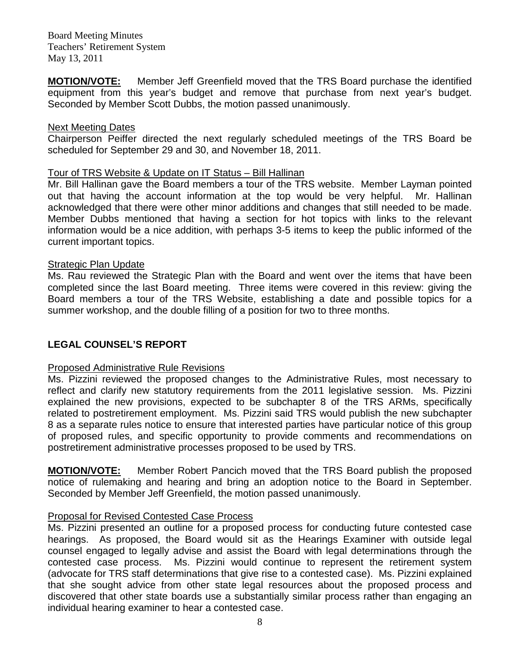**MOTION/VOTE:** Member Jeff Greenfield moved that the TRS Board purchase the identified equipment from this year's budget and remove that purchase from next year's budget. Seconded by Member Scott Dubbs, the motion passed unanimously.

#### Next Meeting Dates

Chairperson Peiffer directed the next regularly scheduled meetings of the TRS Board be scheduled for September 29 and 30, and November 18, 2011.

### Tour of TRS Website & Update on IT Status – Bill Hallinan

Mr. Bill Hallinan gave the Board members a tour of the TRS website. Member Layman pointed out that having the account information at the top would be very helpful. Mr. Hallinan acknowledged that there were other minor additions and changes that still needed to be made. Member Dubbs mentioned that having a section for hot topics with links to the relevant information would be a nice addition, with perhaps 3-5 items to keep the public informed of the current important topics.

#### Strategic Plan Update

Ms. Rau reviewed the Strategic Plan with the Board and went over the items that have been completed since the last Board meeting. Three items were covered in this review: giving the Board members a tour of the TRS Website, establishing a date and possible topics for a summer workshop, and the double filling of a position for two to three months.

## **LEGAL COUNSEL'S REPORT**

## Proposed Administrative Rule Revisions

Ms. Pizzini reviewed the proposed changes to the Administrative Rules, most necessary to reflect and clarify new statutory requirements from the 2011 legislative session. Ms. Pizzini explained the new provisions, expected to be subchapter 8 of the TRS ARMs, specifically related to postretirement employment. Ms. Pizzini said TRS would publish the new subchapter 8 as a separate rules notice to ensure that interested parties have particular notice of this group of proposed rules, and specific opportunity to provide comments and recommendations on postretirement administrative processes proposed to be used by TRS.

**MOTION/VOTE:** Member Robert Pancich moved that the TRS Board publish the proposed notice of rulemaking and hearing and bring an adoption notice to the Board in September. Seconded by Member Jeff Greenfield, the motion passed unanimously.

## Proposal for Revised Contested Case Process

Ms. Pizzini presented an outline for a proposed process for conducting future contested case hearings. As proposed, the Board would sit as the Hearings Examiner with outside legal counsel engaged to legally advise and assist the Board with legal determinations through the contested case process. Ms. Pizzini would continue to represent the retirement system (advocate for TRS staff determinations that give rise to a contested case). Ms. Pizzini explained that she sought advice from other state legal resources about the proposed process and discovered that other state boards use a substantially similar process rather than engaging an individual hearing examiner to hear a contested case.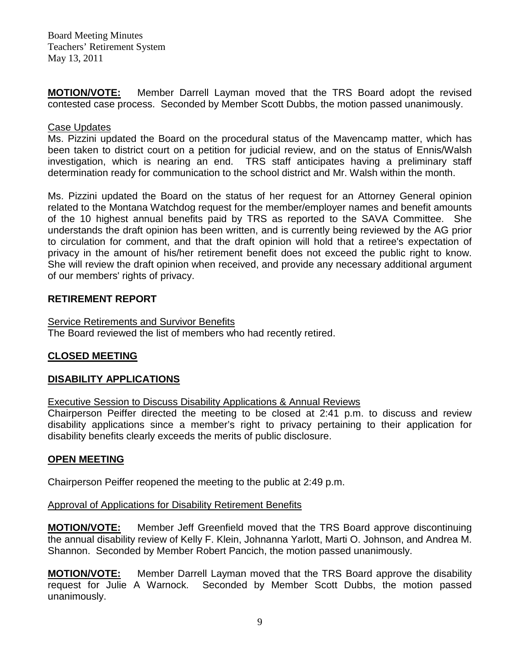**MOTION/VOTE:** Member Darrell Layman moved that the TRS Board adopt the revised contested case process. Seconded by Member Scott Dubbs, the motion passed unanimously.

## Case Updates

Ms. Pizzini updated the Board on the procedural status of the Mavencamp matter, which has been taken to district court on a petition for judicial review, and on the status of Ennis/Walsh investigation, which is nearing an end. TRS staff anticipates having a preliminary staff determination ready for communication to the school district and Mr. Walsh within the month.

Ms. Pizzini updated the Board on the status of her request for an Attorney General opinion related to the Montana Watchdog request for the member/employer names and benefit amounts of the 10 highest annual benefits paid by TRS as reported to the SAVA Committee. She understands the draft opinion has been written, and is currently being reviewed by the AG prior to circulation for comment, and that the draft opinion will hold that a retiree's expectation of privacy in the amount of his/her retirement benefit does not exceed the public right to know. She will review the draft opinion when received, and provide any necessary additional argument of our members' rights of privacy.

## **RETIREMENT REPORT**

## **Service Retirements and Survivor Benefits**

The Board reviewed the list of members who had recently retired.

# **CLOSED MEETING**

# **DISABILITY APPLICATIONS**

Executive Session to Discuss Disability Applications & Annual Reviews

Chairperson Peiffer directed the meeting to be closed at 2:41 p.m. to discuss and review disability applications since a member's right to privacy pertaining to their application for disability benefits clearly exceeds the merits of public disclosure.

# **OPEN MEETING**

Chairperson Peiffer reopened the meeting to the public at 2:49 p.m.

## Approval of Applications for Disability Retirement Benefits

**MOTION/VOTE:** Member Jeff Greenfield moved that the TRS Board approve discontinuing the annual disability review of Kelly F. Klein, Johnanna Yarlott, Marti O. Johnson, and Andrea M. Shannon. Seconded by Member Robert Pancich, the motion passed unanimously.

**MOTION/VOTE:** Member Darrell Layman moved that the TRS Board approve the disability request for Julie A Warnock. Seconded by Member Scott Dubbs, the motion passed unanimously.